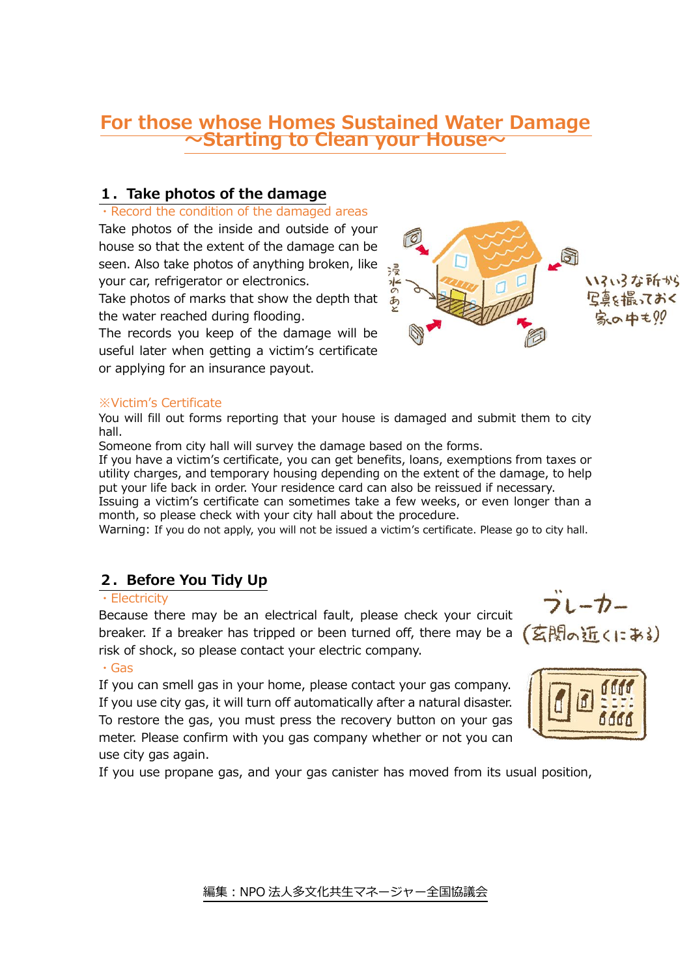## **For those whose Homes Sustained Water Damage ~Starting to Clean your House~**

### **1.Take photos of the damage**

#### ・Record the condition of the damaged areas

Take photos of the inside and outside of your house so that the extent of the damage can be seen. Also take photos of anything broken, like your car, refrigerator or electronics.

Take photos of marks that show the depth that the water reached during flooding.

The records you keep of the damage will be useful later when getting a victim's certificate or applying for an insurance payout.

#### ※Victim's Certificate

You will fill out forms reporting that your house is damaged and submit them to city hall.

Someone from city hall will survey the damage based on the forms.

If you have a victim's certificate, you can get benefits, loans, exemptions from taxes or utility charges, and temporary housing depending on the extent of the damage, to help put your life back in order. Your residence card can also be reissued if necessary.

Issuing a victim's certificate can sometimes take a few weeks, or even longer than a month, so please check with your city hall about the procedure.

Warning: If you do not apply, you will not be issued a victim's certificate. Please go to city hall.

## **2.Before You Tidy Up**

#### ・Electricity

Because there may be an electrical fault, please check your circuit breaker. If a breaker has tripped or been turned off, there may be a risk of shock, so please contact your electric company.

#### ・Gas

If you can smell gas in your home, please contact your gas company. If you use city gas, it will turn off automatically after a natural disaster. To restore the gas, you must press the recovery button on your gas meter. Please confirm with you gas company whether or not you can use city gas again.

If you use propane gas, and your gas canister has moved from its usual position,